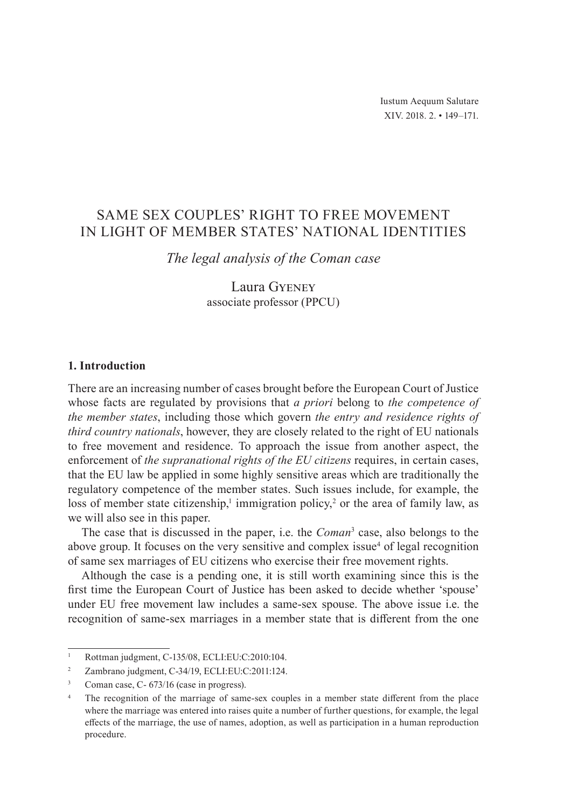# SAME SEX COUPLES' RIGHT TO FREE MOVEMENT IN LIGHT OF MEMBER STATES' NATIONAL IDENTITIES

*The legal analysis of the Coman case*

Laura Gyeney associate professor (PPCU)

# **1. Introduction**

There are an increasing number of cases brought before the European Court of Justice whose facts are regulated by provisions that *a priori* belong to *the competence of the member states*, including those which govern *the entry and residence rights of third country nationals*, however, they are closely related to the right of EU nationals to free movement and residence. To approach the issue from another aspect, the enforcement of *the supranational rights of the EU citizens* requires, in certain cases, that the EU law be applied in some highly sensitive areas which are traditionally the regulatory competence of the member states. Such issues include, for example, the loss of member state citizenship,<sup>1</sup> immigration policy,<sup>2</sup> or the area of family law, as we will also see in this paper.

The case that is discussed in the paper, i.e. the *Coman*<sup>3</sup> case, also belongs to the above group. It focuses on the very sensitive and complex issue<sup>4</sup> of legal recognition of same sex marriages of EU citizens who exercise their free movement rights.

Although the case is a pending one, it is still worth examining since this is the first time the European Court of Justice has been asked to decide whether 'spouse' under EU free movement law includes a same-sex spouse. The above issue i.e. the recognition of same-sex marriages in a member state that is different from the one

<sup>1</sup> Rottman judgment, C-135/08, ECLI:EU:C:2010:104.

<sup>&</sup>lt;sup>2</sup> Zambrano judgment, C-34/19, ECLI:EU:C:2011:124.

<sup>&</sup>lt;sup>3</sup> Coman case, C- 673/16 (case in progress).

<sup>&</sup>lt;sup>4</sup> The recognition of the marriage of same-sex couples in a member state different from the place where the marriage was entered into raises quite a number of further questions, for example, the legal effects of the marriage, the use of names, adoption, as well as participation in a human reproduction procedure.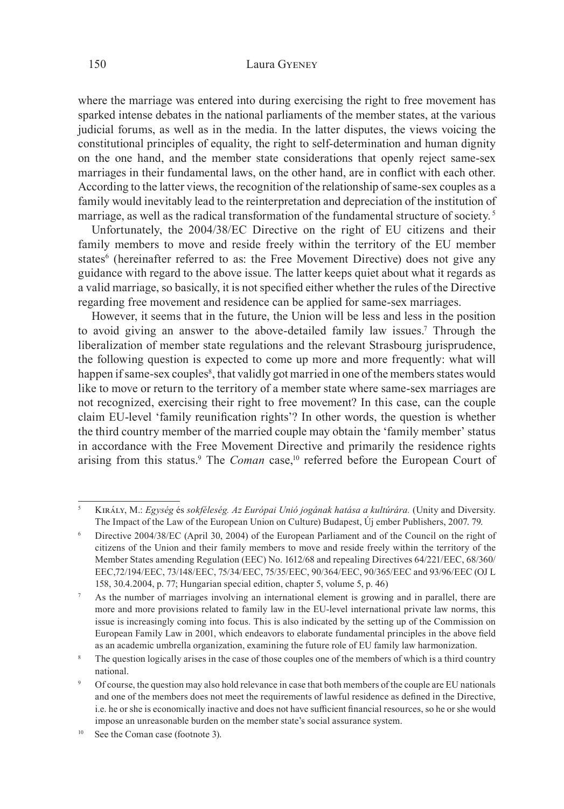### 150 Laura Gyeney

where the marriage was entered into during exercising the right to free movement has sparked intense debates in the national parliaments of the member states, at the various judicial forums, as well as in the media. In the latter disputes, the views voicing the constitutional principles of equality, the right to self-determination and human dignity on the one hand, and the member state considerations that openly reject same-sex marriages in their fundamental laws, on the other hand, are in conflict with each other. According to the latter views, the recognition of the relationship of same-sex couples as a family would inevitably lead to the reinterpretation and depreciation of the institution of marriage, as well as the radical transformation of the fundamental structure of society. 5

Unfortunately, the 2004/38/EC Directive on the right of EU citizens and their family members to move and reside freely within the territory of the EU member states<sup>6</sup> (hereinafter referred to as: the Free Movement Directive) does not give any guidance with regard to the above issue. The latter keeps quiet about what it regards as a valid marriage, so basically, it is not specified either whether the rules of the Directive regarding free movement and residence can be applied for same-sex marriages.

However, it seems that in the future, the Union will be less and less in the position to avoid giving an answer to the above-detailed family law issues.7 Through the liberalization of member state regulations and the relevant Strasbourg jurisprudence, the following question is expected to come up more and more frequently: what will happen if same-sex couples<sup>8</sup>, that validly got married in one of the members states would like to move or return to the territory of a member state where same-sex marriages are not recognized, exercising their right to free movement? In this case, can the couple claim EU-level 'family reunification rights'? In other words, the question is whether the third country member of the married couple may obtain the 'family member' status in accordance with the Free Movement Directive and primarily the residence rights arising from this status.<sup>9</sup> The *Coman* case,<sup>10</sup> referred before the European Court of

<sup>5</sup>Király, M.: *Egység* és *sokféleség. Az Európai Unió jogának hatása a kultúrára.* (Unity and Diversity. The Impact of the Law of the European Union on Culture) Budapest, Új ember Publishers, 2007. 79.

<sup>6</sup> Directive 2004/38/EC (April 30, 2004) of the European Parliament and of the Council on the right of citizens of the Union and their family members to move and reside freely within the territory of the Member States amending Regulation (EEC) No. 1612/68 and repealing Directives 64/221/EEC, 68/360/ EEC,72/194/EEC, 73/148/EEC, 75/34/EEC, 75/35/EEC, 90/364/EEC, 90/365/EEC and 93/96/EEC (OJ L 158, 30.4.2004, p. 77; Hungarian special edition, chapter 5, volume 5, p. 46)

<sup>7</sup> As the number of marriages involving an international element is growing and in parallel, there are more and more provisions related to family law in the EU-level international private law norms, this issue is increasingly coming into focus. This is also indicated by the setting up of the Commission on European Family Law in 2001, which endeavors to elaborate fundamental principles in the above field as an academic umbrella organization, examining the future role of EU family law harmonization.

The question logically arises in the case of those couples one of the members of which is a third country national.

<sup>9</sup> Of course, the question may also hold relevance in case that both members of the couple are EU nationals and one of the members does not meet the requirements of lawful residence as defined in the Directive, i.e. he or she is economically inactive and does not have sufficient financial resources, so he or she would impose an unreasonable burden on the member state's social assurance system.

See the Coman case (footnote 3).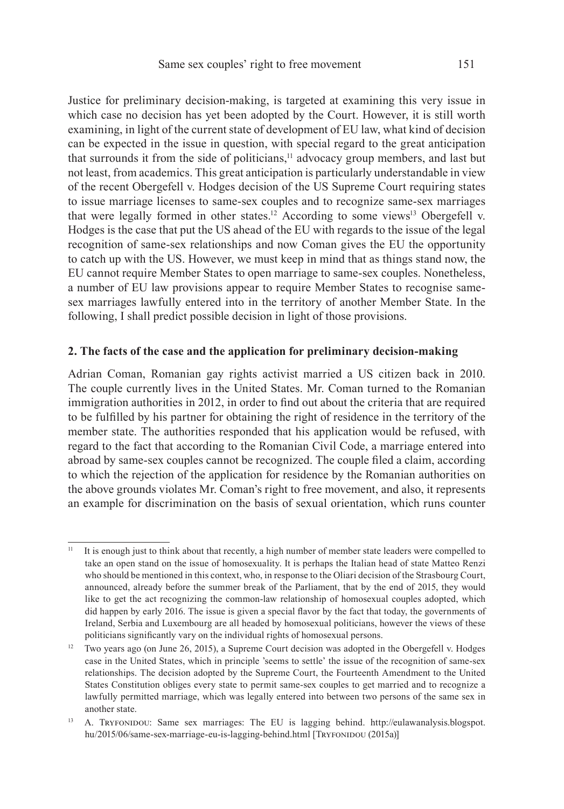Justice for preliminary decision-making, is targeted at examining this very issue in which case no decision has yet been adopted by the Court. However, it is still worth examining, in light of the current state of development of EU law, what kind of decision can be expected in the issue in question, with special regard to the great anticipation that surrounds it from the side of politicians,<sup>11</sup> advocacy group members, and last but not least, from academics. This great anticipation is particularly understandable in view of the recent Obergefell v. Hodges decision of the US Supreme Court requiring states to issue marriage licenses to same-sex couples and to recognize same-sex marriages that were legally formed in other states.<sup>12</sup> According to some views<sup>13</sup> Obergefell v. Hodges is the case that put the US ahead of the EU with regards to the issue of the legal recognition of same-sex relationships and now Coman gives the EU the opportunity to catch up with the US. However, we must keep in mind that as things stand now, the EU cannot require Member States to open marriage to same-sex couples. Nonetheless, a number of EU law provisions appear to require Member States to recognise samesex marriages lawfully entered into in the territory of another Member State. In the following, I shall predict possible decision in light of those provisions.

### **2. The facts of the case and the application for preliminary decision-making**

Adrian Coman, Romanian gay rights activist married a US citizen back in 2010. The couple currently lives in the United States. Mr. Coman turned to the Romanian immigration authorities in 2012, in order to find out about the criteria that are required to be fulfilled by his partner for obtaining the right of residence in the territory of the member state. The authorities responded that his application would be refused, with regard to the fact that according to the Romanian Civil Code, a marriage entered into abroad by same-sex couples cannot be recognized. The couple filed a claim, according to which the rejection of the application for residence by the Romanian authorities on the above grounds violates Mr. Coman's right to free movement, and also, it represents an example for discrimination on the basis of sexual orientation, which runs counter

<sup>&</sup>lt;sup>11</sup> It is enough just to think about that recently, a high number of member state leaders were compelled to take an open stand on the issue of homosexuality. It is perhaps the Italian head of state Matteo Renzi who should be mentioned in this context, who, in response to the Oliari decision of the Strasbourg Court, announced, already before the summer break of the Parliament, that by the end of 2015, they would like to get the act recognizing the common-law relationship of homosexual couples adopted, which did happen by early 2016. The issue is given a special flavor by the fact that today, the governments of Ireland, Serbia and Luxembourg are all headed by homosexual politicians, however the views of these politicians significantly vary on the individual rights of homosexual persons.

<sup>&</sup>lt;sup>12</sup> Two years ago (on June 26, 2015), a Supreme Court decision was adopted in the Obergefell v. Hodges case in the United States, which in principle 'seems to settle' the issue of the recognition of same-sex relationships. The decision adopted by the Supreme Court, the Fourteenth Amendment to the United States Constitution obliges every state to permit same-sex couples to get married and to recognize a lawfully permitted marriage, which was legally entered into between two persons of the same sex in another state.

<sup>13</sup> A. Tryfonidou: Same sex marriages: The EU is lagging behind. http://eulawanalysis.blogspot. hu/2015/06/same-sex-marriage-eu-is-lagging-behind.html [TRYFONIDOU (2015a)]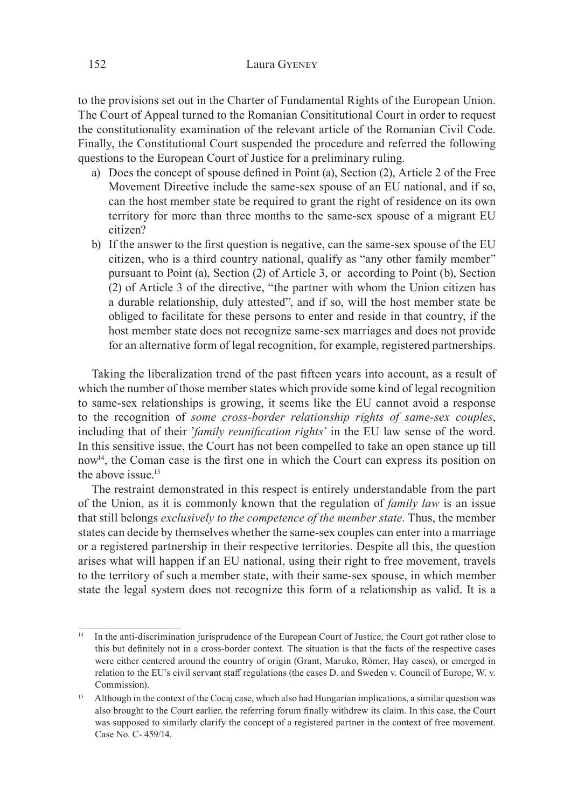to the provisions set out in the Charter of Fundamental Rights of the European Union. The Court of Appeal turned to the Romanian Consititutional Court in order to request the constitutionality examination of the relevant article of the Romanian Civil Code. Finally, the Constitutional Court suspended the procedure and referred the following questions to the European Court of Justice for a preliminary ruling.

- a) Does the concept of spouse defined in Point (a), Section (2), Article 2 of the Free Movement Directive include the same-sex spouse of an EU national, and if so, can the host member state be required to grant the right of residence on its own territory for more than three months to the same-sex spouse of a migrant EU citizen?
- b) If the answer to the first question is negative, can the same-sex spouse of the EU citizen, who is a third country national, qualify as "any other family member" pursuant to Point (a), Section (2) of Article 3, or according to Point (b), Section (2) of Article 3 of the directive, "the partner with whom the Union citizen has a durable relationship, duly attested", and if so, will the host member state be obliged to facilitate for these persons to enter and reside in that country, if the host member state does not recognize same-sex marriages and does not provide for an alternative form of legal recognition, for example, registered partnerships.

Taking the liberalization trend of the past fifteen years into account, as a result of which the number of those member states which provide some kind of legal recognition to same-sex relationships is growing, it seems like the EU cannot avoid a response to the recognition of *some cross-border relationship rights of same-sex couples*, including that of their '*family reunification rights'* in the EU law sense of the word. In this sensitive issue, the Court has not been compelled to take an open stance up till now14, the Coman case is the first one in which the Court can express its position on the above issue. $15$ 

The restraint demonstrated in this respect is entirely understandable from the part of the Union, as it is commonly known that the regulation of *family law* is an issue that still belongs *exclusively to the competence of the member state*. Thus, the member states can decide by themselves whether the same-sex couples can enter into a marriage or a registered partnership in their respective territories. Despite all this, the question arises what will happen if an EU national, using their right to free movement, travels to the territory of such a member state, with their same-sex spouse, in which member state the legal system does not recognize this form of a relationship as valid. It is a

<sup>&</sup>lt;sup>14</sup> In the anti-discrimination jurisprudence of the European Court of Justice, the Court got rather close to this but definitely not in a cross-border context. The situation is that the facts of the respective cases were either centered around the country of origin (Grant, Maruko, Römer, Hay cases), or emerged in relation to the EU's civil servant staff regulations (the cases D. and Sweden v. Council of Europe, W. v. Commission).

<sup>&</sup>lt;sup>15</sup> Although in the context of the Cocaj case, which also had Hungarian implications, a similar question was also brought to the Court earlier, the referring forum finally withdrew its claim. In this case, the Court was supposed to similarly clarify the concept of a registered partner in the context of free movement. Case No. C- 459/14.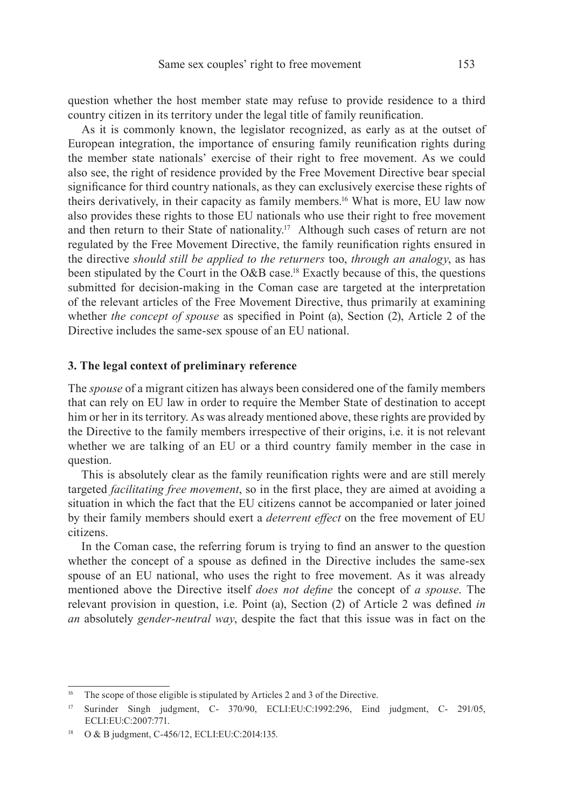question whether the host member state may refuse to provide residence to a third country citizen in its territory under the legal title of family reunification.

As it is commonly known, the legislator recognized, as early as at the outset of European integration, the importance of ensuring family reunification rights during the member state nationals' exercise of their right to free movement. As we could also see, the right of residence provided by the Free Movement Directive bear special significance for third country nationals, as they can exclusively exercise these rights of theirs derivatively, in their capacity as family members.16 What is more, EU law now also provides these rights to those EU nationals who use their right to free movement and then return to their State of nationality.17 Although such cases of return are not regulated by the Free Movement Directive, the family reunification rights ensured in the directive *should still be applied to the returners* too, *through an analogy*, as has been stipulated by the Court in the O&B case.18 Exactly because of this, the questions submitted for decision-making in the Coman case are targeted at the interpretation of the relevant articles of the Free Movement Directive, thus primarily at examining whether *the concept of spouse* as specified in Point (a), Section (2), Article 2 of the Directive includes the same-sex spouse of an EU national.

#### **3. The legal context of preliminary reference**

The *spouse* of a migrant citizen has always been considered one of the family members that can rely on EU law in order to require the Member State of destination to accept him or her in its territory. As was already mentioned above, these rights are provided by the Directive to the family members irrespective of their origins, i.e. it is not relevant whether we are talking of an EU or a third country family member in the case in question.

This is absolutely clear as the family reunification rights were and are still merely targeted *facilitating free movement*, so in the first place, they are aimed at avoiding a situation in which the fact that the EU citizens cannot be accompanied or later joined by their family members should exert a *deterrent effect* on the free movement of EU citizens.

In the Coman case, the referring forum is trying to find an answer to the question whether the concept of a spouse as defined in the Directive includes the same-sex spouse of an EU national, who uses the right to free movement. As it was already mentioned above the Directive itself *does not define* the concept of *a spouse*. The relevant provision in question, i.e. Point (a), Section (2) of Article 2 was defined *in an* absolutely *gender-neutral way*, despite the fact that this issue was in fact on the

<sup>&</sup>lt;sup>16</sup> The scope of those eligible is stipulated by Articles 2 and 3 of the Directive.

<sup>17</sup> Surinder Singh judgment, C- 370/90, ECLI:EU:C:1992:296, Eind judgment, C- 291/05, ECLI:EU:C:2007:771.

<sup>18</sup> O & B judgment, C-456/12, ECLI:EU:C:2014:135.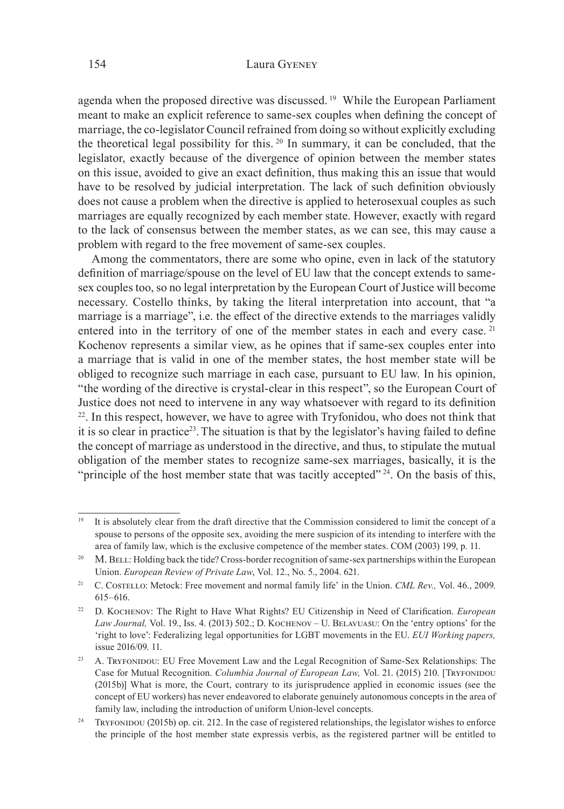agenda when the proposed directive was discussed. 19 While the European Parliament meant to make an explicit reference to same-sex couples when defining the concept of marriage, the co-legislator Council refrained from doing so without explicitly excluding the theoretical legal possibility for this. 20 In summary, it can be concluded, that the legislator, exactly because of the divergence of opinion between the member states on this issue, avoided to give an exact definition, thus making this an issue that would have to be resolved by judicial interpretation. The lack of such definition obviously does not cause a problem when the directive is applied to heterosexual couples as such marriages are equally recognized by each member state. However, exactly with regard to the lack of consensus between the member states, as we can see, this may cause a problem with regard to the free movement of same-sex couples.

Among the commentators, there are some who opine, even in lack of the statutory definition of marriage/spouse on the level of EU law that the concept extends to samesex couples too, so no legal interpretation by the European Court of Justice will become necessary. Costello thinks, by taking the literal interpretation into account, that "a marriage is a marriage", i.e. the effect of the directive extends to the marriages validly entered into in the territory of one of the member states in each and every case.<sup>21</sup> Kochenov represents a similar view, as he opines that if same-sex couples enter into a marriage that is valid in one of the member states, the host member state will be obliged to recognize such marriage in each case, pursuant to EU law. In his opinion, "the wording of the directive is crystal-clear in this respect", so the European Court of Justice does not need to intervene in any way whatsoever with regard to its definition  $2<sup>22</sup>$ . In this respect, however, we have to agree with Tryfonidou, who does not think that it is so clear in practice<sup>23</sup>. The situation is that by the legislator's having failed to define the concept of marriage as understood in the directive, and thus, to stipulate the mutual obligation of the member states to recognize same-sex marriages, basically, it is the "principle of the host member state that was tacitly accepted"  $24$ . On the basis of this,

<sup>19</sup> It is absolutely clear from the draft directive that the Commission considered to limit the concept of a spouse to persons of the opposite sex, avoiding the mere suspicion of its intending to interfere with the area of family law, which is the exclusive competence of the member states. COM (2003) 199, p. 11.

<sup>&</sup>lt;sup>20</sup> M. BELL: Holding back the tide? Cross-border recognition of same-sex partnerships within the European Union. *European Review of Private Law*, Vol. 12., No. 5., 2004. 621.

<sup>21</sup> C. Costello: Metock: Free movement and normal family life' in the Union. *CML Rev.,* Vol. 46., 2009. 615–616.

<sup>22</sup> D. Kochenov: The Right to Have What Rights? EU Citizenship in Need of Clarification. *European Law Journal,* Vol. 19., Iss. 4. (2013) 502.; D. Kochenov – U. Belavuasu: On the 'entry options' for the 'right to love': Federalizing legal opportunities for LGBT movements in the EU. *EUI Working papers,*  issue 2016/09. 11.

<sup>&</sup>lt;sup>23</sup> A. TRYFONIDOU: EU Free Movement Law and the Legal Recognition of Same-Sex Relationships: The Case for Mutual Recognition. *Columbia Journal of European Law,* Vol. 21. (2015) 210. [Tryfonidou (2015b)] What is more, the Court, contrary to its jurisprudence applied in economic issues (see the concept of EU workers) has never endeavored to elaborate genuinely autonomous concepts in the area of family law, including the introduction of uniform Union-level concepts.

<sup>&</sup>lt;sup>24</sup> Tryfonidou (2015b) op. cit. 212. In the case of registered relationships, the legislator wishes to enforce the principle of the host member state expressis verbis, as the registered partner will be entitled to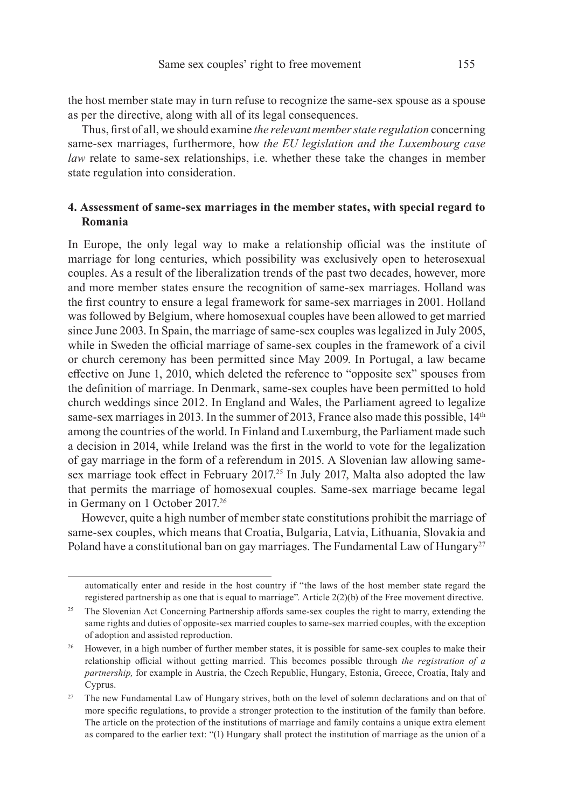the host member state may in turn refuse to recognize the same-sex spouse as a spouse as per the directive, along with all of its legal consequences.

Thus, first of all, we should examine *the relevant member state regulation* concerning same-sex marriages, furthermore, how *the EU legislation and the Luxembourg case law* relate to same-sex relationships, i.e. whether these take the changes in member state regulation into consideration.

# **4. Assessment of same-sex marriages in the member states, with special regard to Romania**

In Europe, the only legal way to make a relationship official was the institute of marriage for long centuries, which possibility was exclusively open to heterosexual couples. As a result of the liberalization trends of the past two decades, however, more and more member states ensure the recognition of same-sex marriages. Holland was the first country to ensure a legal framework for same-sex marriages in 2001. Holland was followed by Belgium, where homosexual couples have been allowed to get married since June 2003. In Spain, the marriage of same-sex couples was legalized in July 2005, while in Sweden the official marriage of same-sex couples in the framework of a civil or church ceremony has been permitted since May 2009. In Portugal, a law became effective on June 1, 2010, which deleted the reference to "opposite sex" spouses from the definition of marriage. In Denmark, same-sex couples have been permitted to hold church weddings since 2012. In England and Wales, the Parliament agreed to legalize same-sex marriages in 2013. In the summer of 2013, France also made this possible, 14<sup>th</sup> among the countries of the world. In Finland and Luxemburg, the Parliament made such a decision in 2014, while Ireland was the first in the world to vote for the legalization of gay marriage in the form of a referendum in 2015. A Slovenian law allowing samesex marriage took effect in February 2017.<sup>25</sup> In July 2017, Malta also adopted the law that permits the marriage of homosexual couples. Same-sex marriage became legal in Germany on 1 October 2017.26

However, quite a high number of member state constitutions prohibit the marriage of same-sex couples, which means that Croatia, Bulgaria, Latvia, Lithuania, Slovakia and Poland have a constitutional ban on gay marriages. The Fundamental Law of Hungary<sup>27</sup>

automatically enter and reside in the host country if "the laws of the host member state regard the registered partnership as one that is equal to marriage". Article 2(2)(b) of the Free movement directive.

<sup>&</sup>lt;sup>25</sup> The Slovenian Act Concerning Partnership affords same-sex couples the right to marry, extending the same rights and duties of opposite-sex married couples to same-sex married couples, with the exception of adoption and assisted reproduction.

<sup>&</sup>lt;sup>26</sup> However, in a high number of further member states, it is possible for same-sex couples to make their relationship official without getting married. This becomes possible through *the registration of a partnership,* for example in Austria, the Czech Republic, Hungary, Estonia, Greece, Croatia, Italy and Cyprus.

<sup>&</sup>lt;sup>27</sup> The new Fundamental Law of Hungary strives, both on the level of solemn declarations and on that of more specific regulations, to provide a stronger protection to the institution of the family than before. The article on the protection of the institutions of marriage and family contains a unique extra element as compared to the earlier text: "(1) Hungary shall protect the institution of marriage as the union of a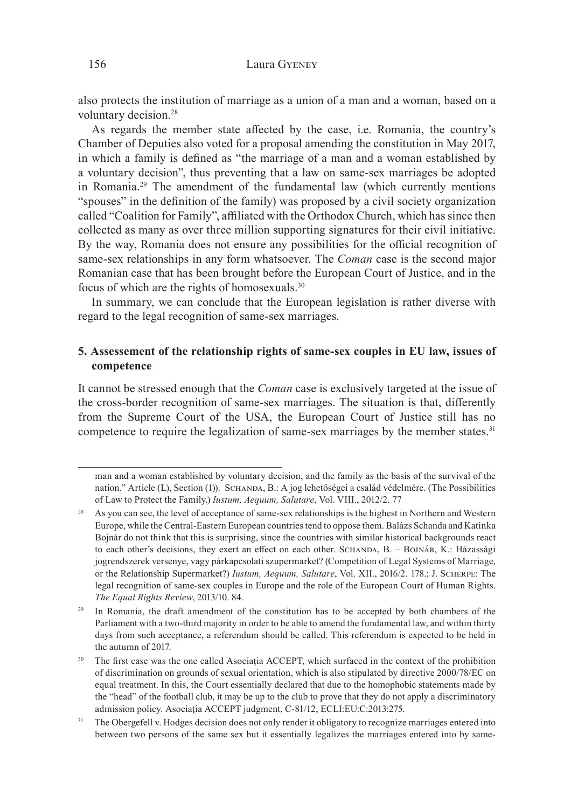also protects the institution of marriage as a union of a man and a woman, based on a voluntary decision.28

As regards the member state affected by the case, i.e. Romania, the country's Chamber of Deputies also voted for a proposal amending the constitution in May 2017, in which a family is defined as "the marriage of a man and a woman established by a voluntary decision", thus preventing that a law on same-sex marriages be adopted in Romania.29 The amendment of the fundamental law (which currently mentions "spouses" in the definition of the family) was proposed by a civil society organization called "Coalition for Family", affiliated with the Orthodox Church, which has since then collected as many as over three million supporting signatures for their civil initiative. By the way, Romania does not ensure any possibilities for the official recognition of same-sex relationships in any form whatsoever. The *Coman* case is the second major Romanian case that has been brought before the European Court of Justice, and in the focus of which are the rights of homosexuals.30

In summary, we can conclude that the European legislation is rather diverse with regard to the legal recognition of same-sex marriages.

# **5. Assessement of the relationship rights of same-sex couples in EU law, issues of competence**

It cannot be stressed enough that the *Coman* case is exclusively targeted at the issue of the cross-border recognition of same-sex marriages. The situation is that, differently from the Supreme Court of the USA, the European Court of Justice still has no competence to require the legalization of same-sex marriages by the member states.<sup>31</sup>

man and a woman established by voluntary decision, and the family as the basis of the survival of the nation." Article (L), Section (1)). SCHANDA, B.: A jog lehetőségei a család védelmére. (The Possibilities of Law to Protect the Family.) *Iustum, Aequum, Salutare*, Vol. VIII., 2012/2. 77

As you can see, the level of acceptance of same-sex relationships is the highest in Northern and Western Europe, while the Central-Eastern European countries tend to oppose them. Balázs Schanda and Katinka Bojnár do not think that this is surprising, since the countries with similar historical backgrounds react to each other's decisions, they exert an effect on each other. SCHANDA, B. – BOJNÁR, K.: Házassági jogrendszerek versenye, vagy párkapcsolati szupermarket? (Competition of Legal Systems of Marriage, or the Relationship Supermarket?) *Iustum, Aequum, Salutare*, Vol. XII., 2016/2. 178.; J. Scherpe: The legal recognition of same-sex couples in Europe and the role of the European Court of Human Rights. *The Equal Rights Review*, 2013/10. 84.

<sup>&</sup>lt;sup>29</sup> In Romania, the draft amendment of the constitution has to be accepted by both chambers of the Parliament with a two-third majority in order to be able to amend the fundamental law, and within thirty days from such acceptance, a referendum should be called. This referendum is expected to be held in the autumn of 2017.

<sup>&</sup>lt;sup>30</sup> The first case was the one called Asociaţia ACCEPT, which surfaced in the context of the prohibition of discrimination on grounds of sexual orientation, which is also stipulated by directive 2000/78/EC on equal treatment. In this, the Court essentially declared that due to the homophobic statements made by the "head" of the football club, it may be up to the club to prove that they do not apply a discriminatory admission policy. Asociaţia ACCEPT judgment, C-81/12, ECLI:EU:C:2013:275.

<sup>&</sup>lt;sup>31</sup> The Obergefell v. Hodges decision does not only render it obligatory to recognize marriages entered into between two persons of the same sex but it essentially legalizes the marriages entered into by same-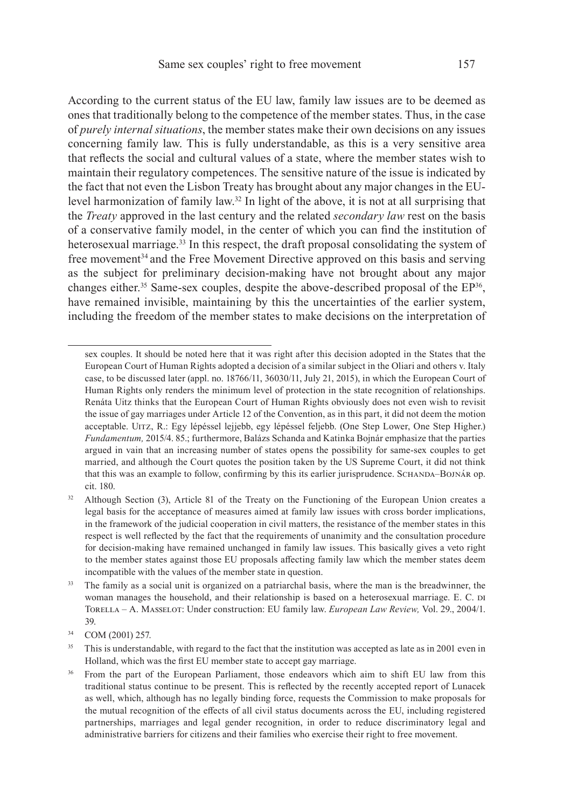According to the current status of the EU law, family law issues are to be deemed as ones that traditionally belong to the competence of the member states. Thus, in the case of *purely internal situations*, the member states make their own decisions on any issues concerning family law. This is fully understandable, as this is a very sensitive area that reflects the social and cultural values of a state, where the member states wish to maintain their regulatory competences. The sensitive nature of the issue is indicated by the fact that not even the Lisbon Treaty has brought about any major changes in the EUlevel harmonization of family law.32 In light of the above, it is not at all surprising that the *Treaty* approved in the last century and the related *secondary law* rest on the basis of a conservative family model, in the center of which you can find the institution of heterosexual marriage.33 In this respect, the draft proposal consolidating the system of free movement<sup>34</sup> and the Free Movement Directive approved on this basis and serving as the subject for preliminary decision-making have not brought about any major changes either.<sup>35</sup> Same-sex couples, despite the above-described proposal of the  $EP<sup>36</sup>$ , have remained invisible, maintaining by this the uncertainties of the earlier system, including the freedom of the member states to make decisions on the interpretation of

sex couples. It should be noted here that it was right after this decision adopted in the States that the European Court of Human Rights adopted a decision of a similar subject in the Oliari and others v. Italy case, to be discussed later (appl. no. 18766/11, 36030/11, July 21, 2015), in which the European Court of Human Rights only renders the minimum level of protection in the state recognition of relationships. Renáta Uitz thinks that the European Court of Human Rights obviously does not even wish to revisit the issue of gay marriages under Article 12 of the Convention, as in this part, it did not deem the motion acceptable. Uitz, R.: Egy lépéssel lejjebb, egy lépéssel feljebb. (One Step Lower, One Step Higher.) *Fundamentum,* 2015/4. 85.; furthermore, Balázs Schanda and Katinka Bojnár emphasize that the parties argued in vain that an increasing number of states opens the possibility for same-sex couples to get married, and although the Court quotes the position taken by the US Supreme Court, it did not think that this was an example to follow, confirming by this its earlier jurisprudence. SCHANDA–BOJNÁR op. cit. 180.

<sup>&</sup>lt;sup>32</sup> Although Section (3), Article 81 of the Treaty on the Functioning of the European Union creates a legal basis for the acceptance of measures aimed at family law issues with cross border implications, in the framework of the judicial cooperation in civil matters, the resistance of the member states in this respect is well reflected by the fact that the requirements of unanimity and the consultation procedure for decision-making have remained unchanged in family law issues. This basically gives a veto right to the member states against those EU proposals affecting family law which the member states deem incompatible with the values of the member state in question.

<sup>&</sup>lt;sup>33</sup> The family as a social unit is organized on a patriarchal basis, where the man is the breadwinner, the woman manages the household, and their relationship is based on a heterosexual marriage. E. C. di Torella – A. Masselot: Under construction: EU family law. *European Law Review,* Vol. 29., 2004/1. 39.

<sup>34</sup> COM (2001) 257.

<sup>&</sup>lt;sup>35</sup> This is understandable, with regard to the fact that the institution was accepted as late as in 2001 even in Holland, which was the first EU member state to accept gay marriage.

<sup>&</sup>lt;sup>36</sup> From the part of the European Parliament, those endeavors which aim to shift EU law from this traditional status continue to be present. This is reflected by the recently accepted report of Lunacek as well, which, although has no legally binding force, requests the Commission to make proposals for the mutual recognition of the effects of all civil status documents across the EU, including registered partnerships, marriages and legal gender recognition, in order to reduce discriminatory legal and administrative barriers for citizens and their families who exercise their right to free movement.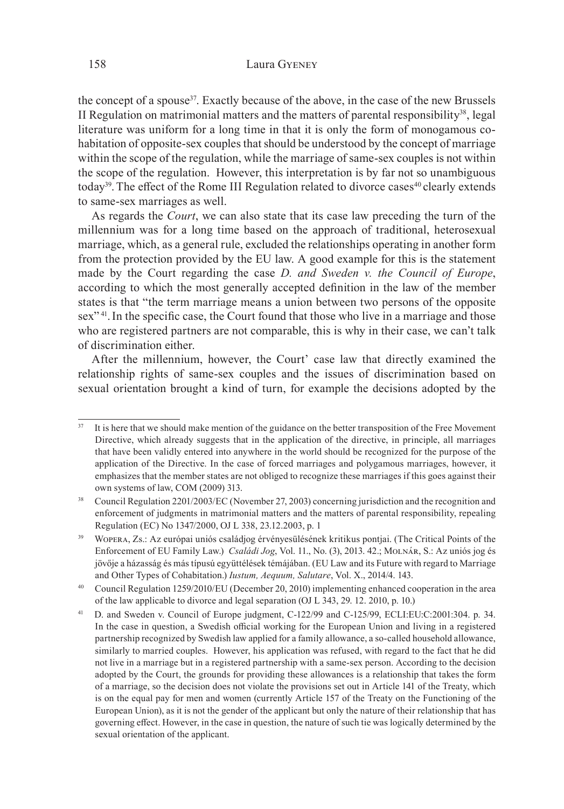### 158 Laura Gyeney

the concept of a spouse37. Exactly because of the above, in the case of the new Brussels II Regulation on matrimonial matters and the matters of parental responsibility $38$ , legal literature was uniform for a long time in that it is only the form of monogamous cohabitation of opposite-sex couples that should be understood by the concept of marriage within the scope of the regulation, while the marriage of same-sex couples is not within the scope of the regulation. However, this interpretation is by far not so unambiguous today<sup>39</sup>. The effect of the Rome III Regulation related to divorce cases<sup>40</sup> clearly extends to same-sex marriages as well.

As regards the *Court*, we can also state that its case law preceding the turn of the millennium was for a long time based on the approach of traditional, heterosexual marriage, which, as a general rule, excluded the relationships operating in another form from the protection provided by the EU law. A good example for this is the statement made by the Court regarding the case *D. and Sweden v. the Council of Europe*, according to which the most generally accepted definition in the law of the member states is that "the term marriage means a union between two persons of the opposite sex"<sup>41</sup>. In the specific case, the Court found that those who live in a marriage and those who are registered partners are not comparable, this is why in their case, we can't talk of discrimination either.

After the millennium, however, the Court' case law that directly examined the relationship rights of same-sex couples and the issues of discrimination based on sexual orientation brought a kind of turn, for example the decisions adopted by the

It is here that we should make mention of the guidance on the better transposition of the Free Movement Directive, which already suggests that in the application of the directive, in principle, all marriages that have been validly entered into anywhere in the world should be recognized for the purpose of the application of the Directive. In the case of forced marriages and polygamous marriages, however, it emphasizes that the member states are not obliged to recognize these marriages if this goes against their own systems of law, COM (2009) 313.

<sup>38</sup> Council Regulation 2201/2003/EC (November 27, 2003) concerning jurisdiction and the recognition and enforcement of judgments in matrimonial matters and the matters of parental responsibility, repealing Regulation (EC) No 1347/2000, OJ L 338, 23.12.2003, p. 1

<sup>&</sup>lt;sup>39</sup> WOPERA, Zs.: Az európai uniós családjog érvényesülésének kritikus pontjai. (The Critical Points of the Enforcement of EU Family Law.) *Családi Jog*, Vol. 11., No. (3), 2013. 42.; Molnár, S.: Az uniós jog és jövője a házasság és más típusú együttélések témájában. (EU Law and its Future with regard to Marriage and Other Types of Cohabitation.) *Iustum, Aequum, Salutare*, Vol. X., 2014/4. 143.

<sup>40</sup> Council Regulation 1259/2010/EU (December 20, 2010) implementing enhanced cooperation in the area of the law applicable to divorce and legal separation (OJ L 343, 29. 12. 2010, p. 10.)

<sup>41</sup> D. and Sweden v. Council of Europe judgment, C-122/99 and C-125/99, ECLI:EU:C:2001:304. p. 34. In the case in question, a Swedish official working for the European Union and living in a registered partnership recognized by Swedish law applied for a family allowance, a so-called household allowance, similarly to married couples. However, his application was refused, with regard to the fact that he did not live in a marriage but in a registered partnership with a same-sex person. According to the decision adopted by the Court, the grounds for providing these allowances is a relationship that takes the form of a marriage, so the decision does not violate the provisions set out in Article 141 of the Treaty, which is on the equal pay for men and women (currently Article 157 of the Treaty on the Functioning of the European Union), as it is not the gender of the applicant but only the nature of their relationship that has governing effect. However, in the case in question, the nature of such tie was logically determined by the sexual orientation of the applicant.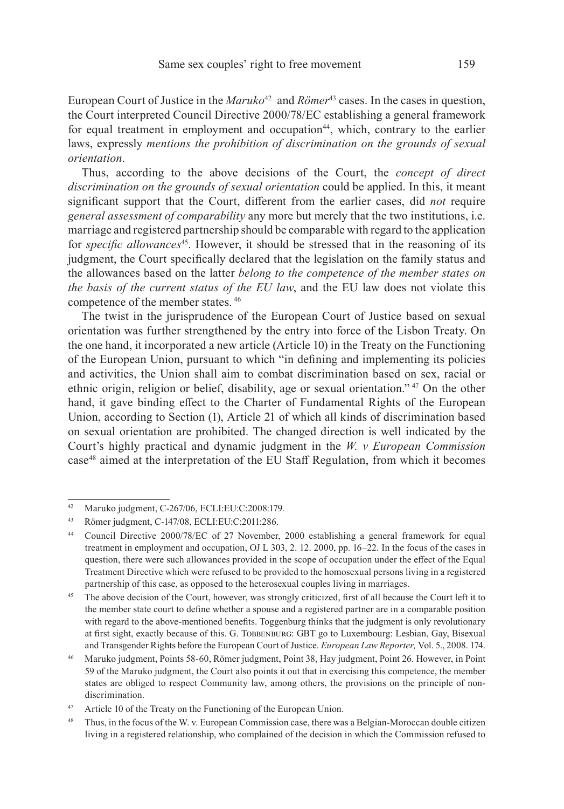European Court of Justice in the *Maruko*<sup>42</sup> and *Römer*43 cases. In the cases in question, the Court interpreted Council Directive 2000/78/EC establishing a general framework for equal treatment in employment and occupation<sup>44</sup>, which, contrary to the earlier laws, expressly *mentions the prohibition of discrimination on the grounds of sexual orientation*.

Thus, according to the above decisions of the Court, the *concept of direct discrimination on the grounds of sexual orientation* could be applied. In this, it meant significant support that the Court, different from the earlier cases, did *not* require *general assessment of comparability* any more but merely that the two institutions, i.e. marriage and registered partnership should be comparable with regard to the application for *specific allowances*<sup>45</sup>. However, it should be stressed that in the reasoning of its judgment, the Court specifically declared that the legislation on the family status and the allowances based on the latter *belong to the competence of the member states on the basis of the current status of the EU law*, and the EU law does not violate this competence of the member states. 46

The twist in the jurisprudence of the European Court of Justice based on sexual orientation was further strengthened by the entry into force of the Lisbon Treaty. On the one hand, it incorporated a new article (Article 10) in the Treaty on the Functioning of the European Union, pursuant to which "in defining and implementing its policies and activities, the Union shall aim to combat discrimination based on sex, racial or ethnic origin, religion or belief, disability, age or sexual orientation." 47 On the other hand, it gave binding effect to the Charter of Fundamental Rights of the European Union, according to Section (1), Article 21 of which all kinds of discrimination based on sexual orientation are prohibited. The changed direction is well indicated by the Court's highly practical and dynamic judgment in the *W. v European Commission*  case48 aimed at the interpretation of the EU Staff Regulation, from which it becomes

<sup>42</sup> Maruko judgment, C-267/06, ECLI:EU:C:2008:179.

<sup>43</sup> Römer judgment, C-147/08, ECLI:EU:C:2011:286.

<sup>&</sup>lt;sup>44</sup> Council Directive 2000/78/EC of 27 November, 2000 establishing a general framework for equal treatment in employment and occupation, OJ L 303, 2. 12. 2000, pp. 16–22. In the focus of the cases in question, there were such allowances provided in the scope of occupation under the effect of the Equal Treatment Directive which were refused to be provided to the homosexual persons living in a registered partnership of this case, as opposed to the heterosexual couples living in marriages.

<sup>&</sup>lt;sup>45</sup> The above decision of the Court, however, was strongly criticized, first of all because the Court left it to the member state court to define whether a spouse and a registered partner are in a comparable position with regard to the above-mentioned benefits. Toggenburg thinks that the judgment is only revolutionary at first sight, exactly because of this. G. TOBBENBURG: GBT go to Luxembourg: Lesbian, Gay, Bisexual and Transgender Rights before the European Court of Justice. *European Law Reporter,* Vol. 5., 2008. 174.

<sup>&</sup>lt;sup>46</sup> Maruko judgment, Points 58-60, Römer judgment, Point 38, Hay judgment, Point 26. However, in Point 59 of the Maruko judgment, the Court also points it out that in exercising this competence, the member states are obliged to respect Community law, among others, the provisions on the principle of nondiscrimination.

<sup>&</sup>lt;sup>47</sup> Article 10 of the Treaty on the Functioning of the European Union.

<sup>&</sup>lt;sup>48</sup> Thus, in the focus of the W. v. European Commission case, there was a Belgian-Moroccan double citizen living in a registered relationship, who complained of the decision in which the Commission refused to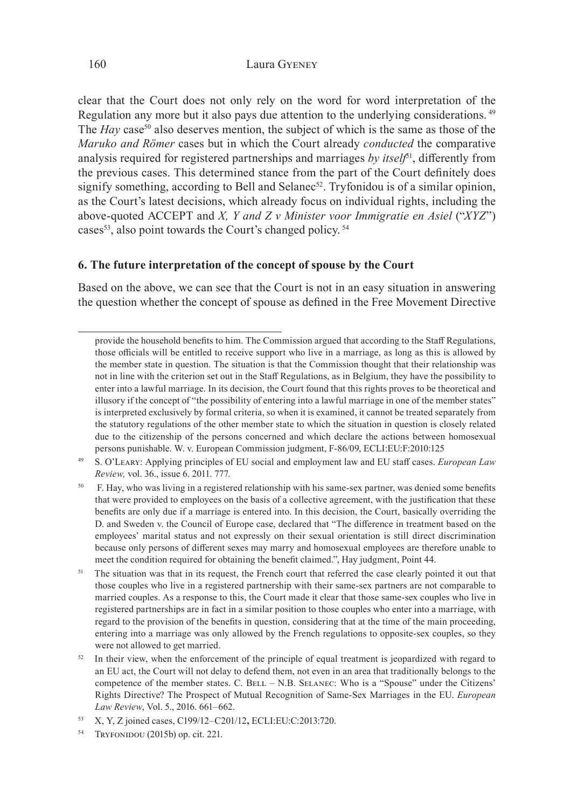clear that the Court does not only rely on the word for word interpretation of the Regulation any more but it also pays due attention to the underlying considerations. 49 The *Hay* case<sup>50</sup> also deserves mention, the subject of which is the same as those of the *Maruko and Römer* cases but in which the Court already *conducted* the comparative analysis required for registered partnerships and marriages *by itself*<sup>51</sup>, differently from the previous cases. This determined stance from the part of the Court definitely does signify something, according to Bell and Selanec<sup>52</sup>. Tryfonidou is of a similar opinion, as the Court's latest decisions, which already focus on individual rights, including the above-quoted ACCEPT and *X, Y and Z v Minister voor Immigratie en Asiel* ("*XYZ*") cases<sup>53</sup>, also point towards the Court's changed policy.<sup>54</sup>

# **6. The future interpretation of the concept of spouse by the Court**

Based on the above, we can see that the Court is not in an easy situation in answering the question whether the concept of spouse as defined in the Free Movement Directive

- 49 S. O'Leary: Applying principles of EU social and employment law and EU staff cases. *European Law Review,* vol. 36., issue 6. 2011. 777.
- <sup>50</sup> F. Hay, who was living in a registered relationship with his same-sex partner, was denied some benefits that were provided to employees on the basis of a collective agreement, with the justification that these benefits are only due if a marriage is entered into. In this decision, the Court, basically overriding the D. and Sweden v. the Council of Europe case, declared that "The difference in treatment based on the employees' marital status and not expressly on their sexual orientation is still direct discrimination because only persons of different sexes may marry and homosexual employees are therefore unable to meet the condition required for obtaining the benefit claimed.", Hay judgment, Point 44.
- <sup>51</sup> The situation was that in its request, the French court that referred the case clearly pointed it out that those couples who live in a registered partnership with their same-sex partners are not comparable to married couples. As a response to this, the Court made it clear that those same-sex couples who live in registered partnerships are in fact in a similar position to those couples who enter into a marriage, with regard to the provision of the benefits in question, considering that at the time of the main proceeding, entering into a marriage was only allowed by the French regulations to opposite-sex couples, so they were not allowed to get married.
- $52$  In their view, when the enforcement of the principle of equal treatment is jeopardized with regard to an EU act, the Court will not delay to defend them, not even in an area that traditionally belongs to the competence of the member states. C. BELL – N.B. SELANEC: Who is a "Spouse" under the Citizens' Rights Directive? The Prospect of Mutual Recognition of Same-Sex Marriages in the EU. *European Law Review*, Vol. 5., 2016. 661–662.
- 53 X, Y, Z joined cases, C199/12–C201/12**,** ECLI:EU:C:2013:720.
- TRYFONIDOU (2015b) op. cit. 221.

provide the household benefits to him. The Commission argued that according to the Staff Regulations, those officials will be entitled to receive support who live in a marriage, as long as this is allowed by the member state in question. The situation is that the Commission thought that their relationship was not in line with the criterion set out in the Staff Regulations, as in Belgium, they have the possibility to enter into a lawful marriage. In its decision, the Court found that this rights proves to be theoretical and illusory if the concept of "the possibility of entering into a lawful marriage in one of the member states" is interpreted exclusively by formal criteria, so when it is examined, it cannot be treated separately from the statutory regulations of the other member state to which the situation in question is closely related due to the citizenship of the persons concerned and which declare the actions between homosexual persons punishable. W. v. European Commission judgment, F-86/09, ECLI:EU:F:2010:125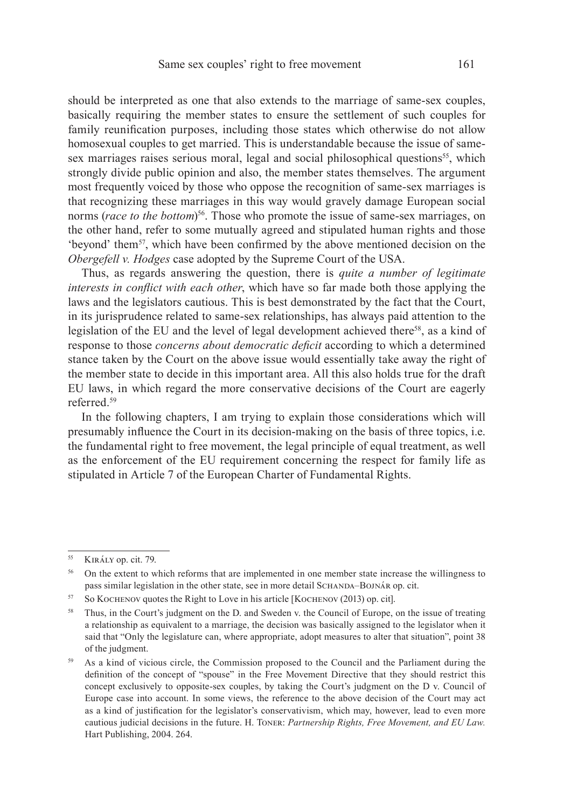should be interpreted as one that also extends to the marriage of same-sex couples, basically requiring the member states to ensure the settlement of such couples for family reunification purposes, including those states which otherwise do not allow homosexual couples to get married. This is understandable because the issue of samesex marriages raises serious moral, legal and social philosophical questions<sup>55</sup>, which strongly divide public opinion and also, the member states themselves. The argument most frequently voiced by those who oppose the recognition of same-sex marriages is that recognizing these marriages in this way would gravely damage European social norms (*race to the bottom*) 56. Those who promote the issue of same-sex marriages, on the other hand, refer to some mutually agreed and stipulated human rights and those 'beyond' them<sup>57</sup>, which have been confirmed by the above mentioned decision on the *Obergefell v. Hodges* case adopted by the Supreme Court of the USA.

Thus, as regards answering the question, there is *quite a number of legitimate interests in conflict with each other*, which have so far made both those applying the laws and the legislators cautious. This is best demonstrated by the fact that the Court, in its jurisprudence related to same-sex relationships, has always paid attention to the legislation of the EU and the level of legal development achieved there<sup>58</sup>, as a kind of response to those *concerns about democratic deficit* according to which a determined stance taken by the Court on the above issue would essentially take away the right of the member state to decide in this important area. All this also holds true for the draft EU laws, in which regard the more conservative decisions of the Court are eagerly referred<sup>59</sup>

In the following chapters, I am trying to explain those considerations which will presumably influence the Court in its decision-making on the basis of three topics, i.e. the fundamental right to free movement, the legal principle of equal treatment, as well as the enforcement of the EU requirement concerning the respect for family life as stipulated in Article 7 of the European Charter of Fundamental Rights.

<sup>&</sup>lt;sup>55</sup> KIRÁLY op. cit. 79.

<sup>&</sup>lt;sup>56</sup> On the extent to which reforms that are implemented in one member state increase the willingness to pass similar legislation in the other state, see in more detail SCHANDA–BOJNÁR op. cit.

<sup>57</sup> So Kochenov quotes the Right to Love in his article [Kochenov (2013) op. cit].

<sup>&</sup>lt;sup>58</sup> Thus, in the Court's judgment on the D. and Sweden v. the Council of Europe, on the issue of treating a relationship as equivalent to a marriage, the decision was basically assigned to the legislator when it said that "Only the legislature can, where appropriate, adopt measures to alter that situation", point 38 of the judgment.

<sup>&</sup>lt;sup>59</sup> As a kind of vicious circle, the Commission proposed to the Council and the Parliament during the definition of the concept of "spouse" in the Free Movement Directive that they should restrict this concept exclusively to opposite-sex couples, by taking the Court's judgment on the D v. Council of Europe case into account. In some views, the reference to the above decision of the Court may act as a kind of justification for the legislator's conservativism, which may, however, lead to even more cautious judicial decisions in the future. H. Toner: *Partnership Rights, Free Movement, and EU Law.* Hart Publishing, 2004. 264.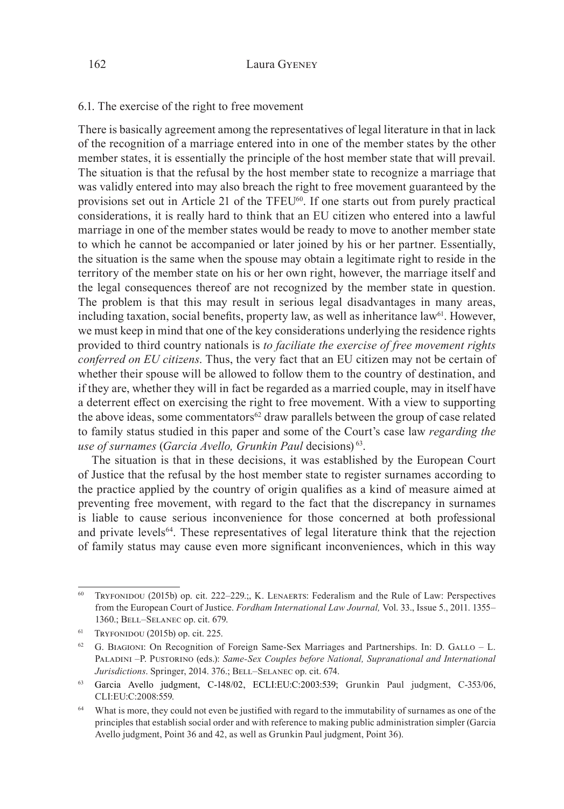# 6.1. The exercise of the right to free movement

There is basically agreement among the representatives of legal literature in that in lack of the recognition of a marriage entered into in one of the member states by the other member states, it is essentially the principle of the host member state that will prevail. The situation is that the refusal by the host member state to recognize a marriage that was validly entered into may also breach the right to free movement guaranteed by the provisions set out in Article 21 of the TFEU60. If one starts out from purely practical considerations, it is really hard to think that an EU citizen who entered into a lawful marriage in one of the member states would be ready to move to another member state to which he cannot be accompanied or later joined by his or her partner. Essentially, the situation is the same when the spouse may obtain a legitimate right to reside in the territory of the member state on his or her own right, however, the marriage itself and the legal consequences thereof are not recognized by the member state in question. The problem is that this may result in serious legal disadvantages in many areas, including taxation, social benefits, property law, as well as inheritance law<sup>61</sup>. However, we must keep in mind that one of the key considerations underlying the residence rights provided to third country nationals is *to faciliate the exercise of free movement rights conferred on EU citizens*. Thus, the very fact that an EU citizen may not be certain of whether their spouse will be allowed to follow them to the country of destination, and if they are, whether they will in fact be regarded as a married couple, may in itself have a deterrent effect on exercising the right to free movement. With a view to supporting the above ideas, some commentators<sup>62</sup> draw parallels between the group of case related to family status studied in this paper and some of the Court's case law *regarding the use of surnames* (*Garcia Avello, Grunkin Paul* decisions) 63.

The situation is that in these decisions, it was established by the European Court of Justice that the refusal by the host member state to register surnames according to the practice applied by the country of origin qualifies as a kind of measure aimed at preventing free movement, with regard to the fact that the discrepancy in surnames is liable to cause serious inconvenience for those concerned at both professional and private levels64. These representatives of legal literature think that the rejection of family status may cause even more significant inconveniences, which in this way

 $60$  Tryfonidou (2015b) op. cit. 222–229.;, K. LENAERTS: Federalism and the Rule of Law: Perspectives from the European Court of Justice. *Fordham International Law Journal,* Vol. 33., Issue 5., 2011. 1355– 1360.; Bell–Selanec op. cit. 679.

 $61$  Tryfonidou (2015b) op. cit. 225.

 $62$  G. BIAGIONI: On Recognition of Foreign Same-Sex Marriages and Partnerships. In: D. GALLO – L. PALADINI –P. PUSTORINO (eds.): *Same-Sex Couples before National, Supranational and International Jurisdictions*. Springer, 2014. 376.; BELL-SELANEC op. cit. 674.

<sup>63</sup> Garcia Avello judgment, C-148/02, ECLI:EU:C:2003:539; Grunkin Paul judgment, C-353/06, CLI:EU:C:2008:559.

<sup>&</sup>lt;sup>64</sup> What is more, they could not even be justified with regard to the immutability of surnames as one of the principles that establish social order and with reference to making public administration simpler (Garcia Avello judgment, Point 36 and 42, as well as Grunkin Paul judgment, Point 36).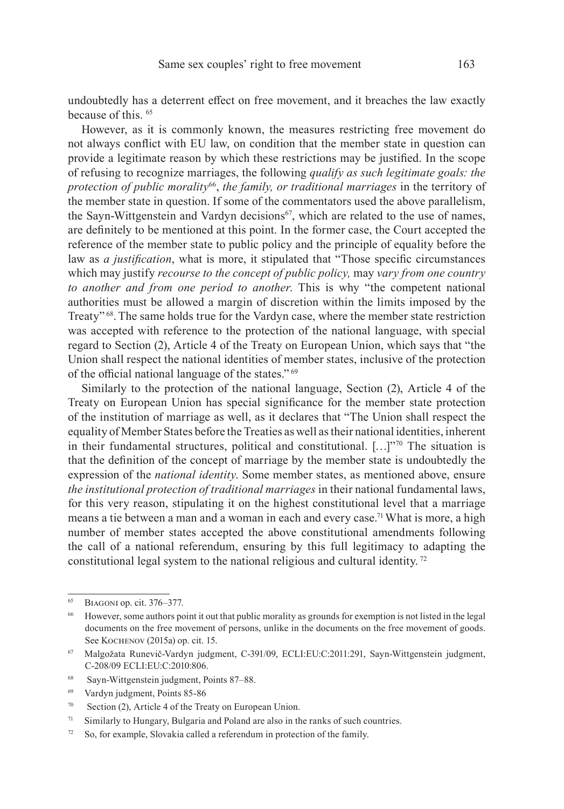undoubtedly has a deterrent effect on free movement, and it breaches the law exactly because of this. 65

However, as it is commonly known, the measures restricting free movement do not always conflict with EU law, on condition that the member state in question can provide a legitimate reason by which these restrictions may be justified. In the scope of refusing to recognize marriages, the following *qualify as such legitimate goals: the protection of public morality*66, *the family, or traditional marriages* in the territory of the member state in question. If some of the commentators used the above parallelism, the Sayn-Wittgenstein and Vardyn decisions<sup>67</sup>, which are related to the use of names, are definitely to be mentioned at this point. In the former case, the Court accepted the reference of the member state to public policy and the principle of equality before the law as *a justification*, what is more, it stipulated that "Those specific circumstances which may justify *recourse to the concept of public policy,* may *vary from one country to another and from one period to another*. This is why "the competent national authorities must be allowed a margin of discretion within the limits imposed by the Treaty" 68.The same holds true for the Vardyn case, where the member state restriction was accepted with reference to the protection of the national language, with special regard to Section (2), Article 4 of the Treaty on European Union, which says that "the Union shall respect the national identities of member states, inclusive of the protection of the official national language of the states."<sup>69</sup>

Similarly to the protection of the national language, Section (2), Article 4 of the Treaty on European Union has special significance for the member state protection of the institution of marriage as well, as it declares that "The Union shall respect the equality of Member States before the Treaties as well as their national identities, inherent in their fundamental structures, political and constitutional.  $[...]$ <sup>70</sup> The situation is that the definition of the concept of marriage by the member state is undoubtedly the expression of the *national identity*. Some member states, as mentioned above, ensure *the institutional protection of traditional marriages* in their national fundamental laws, for this very reason, stipulating it on the highest constitutional level that a marriage means a tie between a man and a woman in each and every case.<sup>71</sup> What is more, a high number of member states accepted the above constitutional amendments following the call of a national referendum, ensuring by this full legitimacy to adapting the constitutional legal system to the national religious and cultural identity. 72

<sup>68</sup> Sayn-Wittgenstein judgment, Points 87–88.

<sup>65</sup>Biagoni op. cit. 376–377.

<sup>66</sup> However, some authors point it out that public morality as grounds for exemption is not listed in the legal documents on the free movement of persons, unlike in the documents on the free movement of goods. See Kochenov (2015a) op. cit. 15.

<sup>67</sup> Malgožata Runevič-Vardyn judgment, C-391/09, ECLI:EU:C:2011:291, Sayn-Wittgenstein judgment, C-208/09 ECLI:EU:C:2010:806.

<sup>69</sup> Vardyn judgment, Points 85-86

<sup>70</sup> Section (2), Article 4 of the Treaty on European Union.

 $71$  Similarly to Hungary, Bulgaria and Poland are also in the ranks of such countries.

<sup>72</sup> So, for example, Slovakia called a referendum in protection of the family.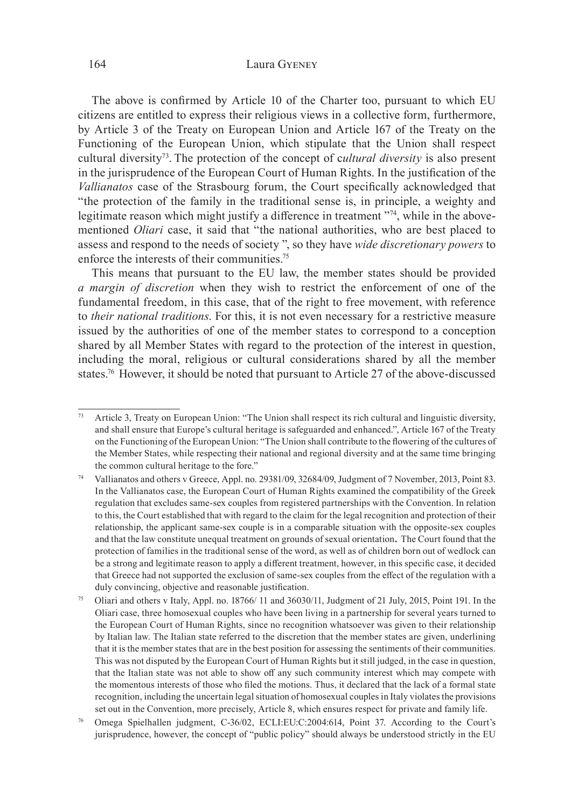### 164 Laura Gyeney

The above is confirmed by Article 10 of the Charter too, pursuant to which EU citizens are entitled to express their religious views in a collective form, furthermore, by Article 3 of the Treaty on European Union and Article 167 of the Treaty on the Functioning of the European Union, which stipulate that the Union shall respect cultural diversity73. The protection of the concept of c*ultural diversity* is also present in the jurisprudence of the European Court of Human Rights. In the justification of the *Vallianatos* case of the Strasbourg forum, the Court specifically acknowledged that "the protection of the family in the traditional sense is, in principle, a weighty and legitimate reason which might justify a difference in treatment "74, while in the abovementioned *Oliari* case, it said that "the national authorities, who are best placed to assess and respond to the needs of society ", so they have *wide discretionary powers* to enforce the interests of their communities.75

This means that pursuant to the EU law, the member states should be provided *a margin of discretion* when they wish to restrict the enforcement of one of the fundamental freedom, in this case, that of the right to free movement, with reference to *their national traditions*. For this, it is not even necessary for a restrictive measure issued by the authorities of one of the member states to correspond to a conception shared by all Member States with regard to the protection of the interest in question, including the moral, religious or cultural considerations shared by all the member states.<sup>76</sup> However, it should be noted that pursuant to Article 27 of the above-discussed

Article 3, Treaty on European Union: "The Union shall respect its rich cultural and linguistic diversity, and shall ensure that Europe's cultural heritage is safeguarded and enhanced.", Article 167 of the Treaty on the Functioning of the European Union: "The Union shall contribute to the flowering of the cultures of the Member States, while respecting their national and regional diversity and at the same time bringing the common cultural heritage to the fore."

<sup>74</sup> Vallianatos and others v Greece, Appl. no. 29381/09, 32684/09, Judgment of 7 November, 2013, Point 83. In the Vallianatos case, the European Court of Human Rights examined the compatibility of the Greek regulation that excludes same-sex couples from registered partnerships with the Convention. In relation to this, the Court established that with regard to the claim for the legal recognition and protection of their relationship, the applicant same-sex couple is in a comparable situation with the opposite-sex couples and that the law constitute unequal treatment on grounds of sexual orientation. The Court found that the protection of families in the traditional sense of the word, as well as of children born out of wedlock can be a strong and legitimate reason to apply a different treatment, however, in this specific case, it decided that Greece had not supported the exclusion of same-sex couples from the effect of the regulation with a duly convincing, objective and reasonable justification.

<sup>75</sup> Oliari and others v Italy, Appl. no. 18766/ 11 and 36030/11, Judgment of 21 July, 2015, Point 191. In the Oliari case, three homosexual couples who have been living in a partnership for several years turned to the European Court of Human Rights, since no recognition whatsoever was given to their relationship by Italian law. The Italian state referred to the discretion that the member states are given, underlining that it is the member states that are in the best position for assessing the sentiments of their communities. This was not disputed by the European Court of Human Rights but it still judged, in the case in question, that the Italian state was not able to show off any such community interest which may compete with the momentous interests of those who filed the motions. Thus, it declared that the lack of a formal state recognition, including the uncertain legal situation of homosexual couples in Italy violates the provisions set out in the Convention, more precisely, Article 8, which ensures respect for private and family life.

<sup>76</sup> Omega Spielhallen judgment, C-36/02, ECLI:EU:C:2004:614, Point 37. According to the Court's jurisprudence, however, the concept of "public policy" should always be understood strictly in the EU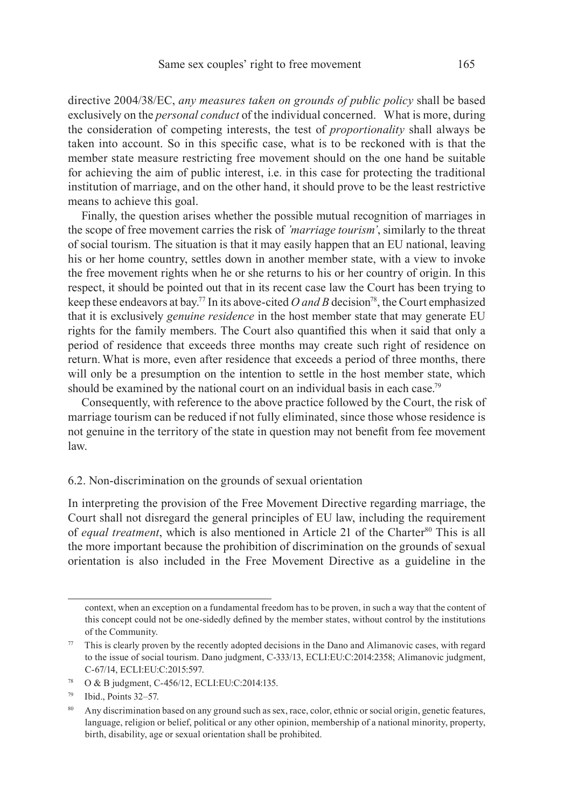directive 2004/38/EC, *any measures taken on grounds of public policy* shall be based exclusively on the *personal conduct* of the individual concerned. What is more, during the consideration of competing interests, the test of *proportionality* shall always be taken into account. So in this specific case, what is to be reckoned with is that the member state measure restricting free movement should on the one hand be suitable for achieving the aim of public interest, i.e. in this case for protecting the traditional institution of marriage, and on the other hand, it should prove to be the least restrictive means to achieve this goal.

Finally, the question arises whether the possible mutual recognition of marriages in the scope of free movement carries the risk of *'marriage tourism'*, similarly to the threat of social tourism. The situation is that it may easily happen that an EU national, leaving his or her home country, settles down in another member state, with a view to invoke the free movement rights when he or she returns to his or her country of origin. In this respect, it should be pointed out that in its recent case law the Court has been trying to keep these endeavors at bay.<sup>77</sup> In its above-cited *O and B* decision<sup>78</sup>, the Court emphasized that it is exclusively *genuine residence* in the host member state that may generate EU rights for the family members. The Court also quantified this when it said that only a period of residence that exceeds three months may create such right of residence on return. What is more, even after residence that exceeds a period of three months, there will only be a presumption on the intention to settle in the host member state, which should be examined by the national court on an individual basis in each case.<sup>79</sup>

Consequently, with reference to the above practice followed by the Court, the risk of marriage tourism can be reduced if not fully eliminated, since those whose residence is not genuine in the territory of the state in question may not benefit from fee movement law.

### 6.2. Non-discrimination on the grounds of sexual orientation

In interpreting the provision of the Free Movement Directive regarding marriage, the Court shall not disregard the general principles of EU law, including the requirement of *equal treatment*, which is also mentioned in Article 21 of the Charter<sup>80</sup> This is all the more important because the prohibition of discrimination on the grounds of sexual orientation is also included in the Free Movement Directive as a guideline in the

context, when an exception on a fundamental freedom has to be proven, in such a way that the content of this concept could not be one-sidedly defined by the member states, without control by the institutions of the Community.

<sup>&</sup>lt;sup>77</sup> This is clearly proven by the recently adopted decisions in the Dano and Alimanovic cases, with regard to the issue of social tourism. Dano judgment, C-333/13, ECLI:EU:C:2014:2358; Alimanovic judgment, C-67/14, ECLI:EU:C:2015:597.

<sup>78</sup> O & B judgment, C-456/12, ECLI:EU:C:2014:135.

<sup>79</sup> Ibid., Points 32–57.

<sup>80</sup> Any discrimination based on any ground such as sex, race, color, ethnic or social origin, genetic features, language, religion or belief, political or any other opinion, membership of a national minority, property, birth, disability, age or sexual orientation shall be prohibited.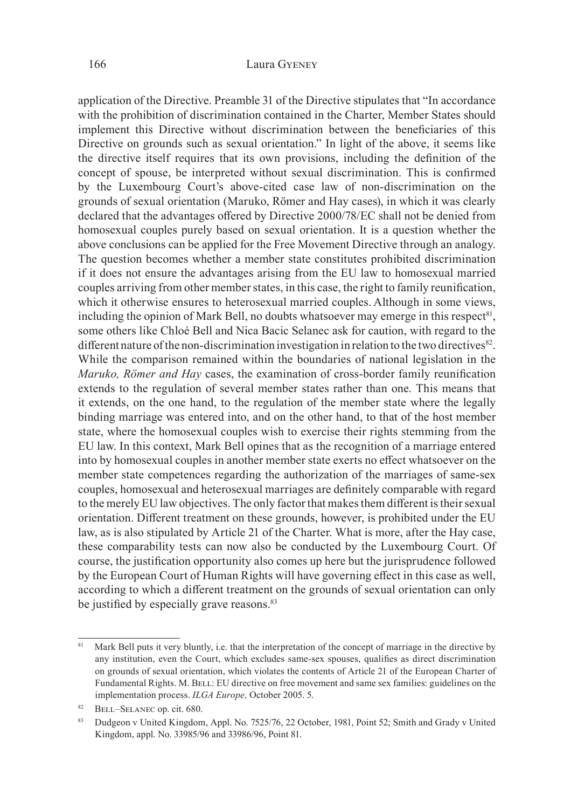application of the Directive. Preamble 31 of the Directive stipulates that "In accordance with the prohibition of discrimination contained in the Charter, Member States should implement this Directive without discrimination between the beneficiaries of this Directive on grounds such as sexual orientation." In light of the above, it seems like the directive itself requires that its own provisions, including the definition of the concept of spouse, be interpreted without sexual discrimination. This is confirmed by the Luxembourg Court's above-cited case law of non-discrimination on the grounds of sexual orientation (Maruko, Römer and Hay cases), in which it was clearly declared that the advantages offered by Directive 2000/78/EC shall not be denied from homosexual couples purely based on sexual orientation. It is a question whether the above conclusions can be applied for the Free Movement Directive through an analogy. The question becomes whether a member state constitutes prohibited discrimination if it does not ensure the advantages arising from the EU law to homosexual married couples arriving from other member states, in this case, the right to family reunification, which it otherwise ensures to heterosexual married couples. Although in some views, including the opinion of Mark Bell, no doubts whatsoever may emerge in this respect<sup>81</sup>, some others like Chloé Bell and Nica Bacic Selanec ask for caution, with regard to the different nature of the non-discrimination investigation in relation to the two directives<sup>82</sup>. While the comparison remained within the boundaries of national legislation in the *Maruko, Römer and Hay* cases, the examination of cross-border family reunification extends to the regulation of several member states rather than one. This means that it extends, on the one hand, to the regulation of the member state where the legally binding marriage was entered into, and on the other hand, to that of the host member state, where the homosexual couples wish to exercise their rights stemming from the EU law. In this context, Mark Bell opines that as the recognition of a marriage entered into by homosexual couples in another member state exerts no effect whatsoever on the member state competences regarding the authorization of the marriages of same-sex couples, homosexual and heterosexual marriages are definitely comparable with regard to the merely EU law objectives. The only factor that makes them different is their sexual orientation. Different treatment on these grounds, however, is prohibited under the EU law, as is also stipulated by Article 21 of the Charter. What is more, after the Hay case, these comparability tests can now also be conducted by the Luxembourg Court. Of course, the justification opportunity also comes up here but the jurisprudence followed by the European Court of Human Rights will have governing effect in this case as well, according to which a different treatment on the grounds of sexual orientation can only be justified by especially grave reasons.<sup>83</sup>

Mark Bell puts it very bluntly, i.e. that the interpretation of the concept of marriage in the directive by any institution, even the Court, which excludes same-sex spouses, qualifies as direct discrimination on grounds of sexual orientation, which violates the contents of Article 21 of the European Charter of Fundamental Rights. M. BELL: EU directive on free movement and same sex families: guidelines on the implementation process. *ILGA Europe,* October 2005. 5.

<sup>82</sup> BELL–SELANEC op. cit. 680.

<sup>83</sup> Dudgeon v United Kingdom, Appl. No. 7525/76, 22 October, 1981, Point 52; Smith and Grady v United Kingdom, appl. No. 33985/96 and 33986/96, Point 81.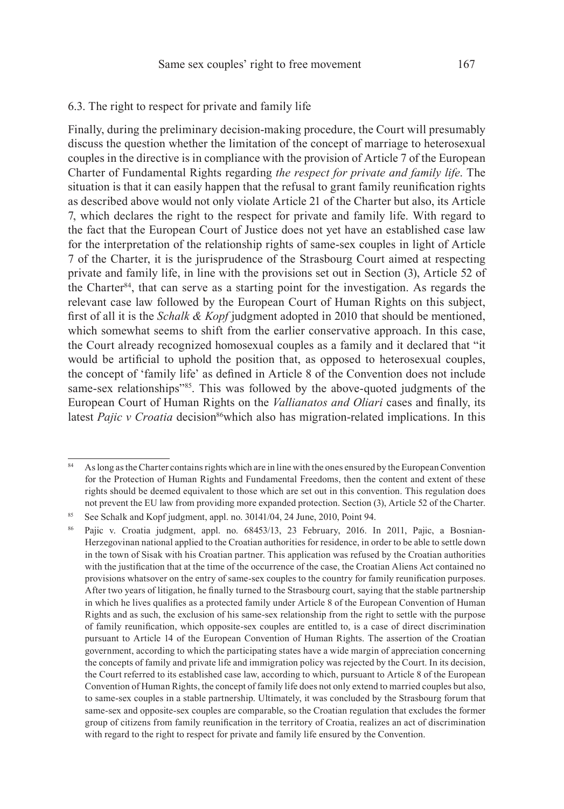# 6.3. The right to respect for private and family life

Finally, during the preliminary decision-making procedure, the Court will presumably discuss the question whether the limitation of the concept of marriage to heterosexual couples in the directive is in compliance with the provision of Article 7 of the European Charter of Fundamental Rights regarding *the respect for private and family life*. The situation is that it can easily happen that the refusal to grant family reunification rights as described above would not only violate Article 21 of the Charter but also, its Article 7, which declares the right to the respect for private and family life. With regard to the fact that the European Court of Justice does not yet have an established case law for the interpretation of the relationship rights of same-sex couples in light of Article 7 of the Charter, it is the jurisprudence of the Strasbourg Court aimed at respecting private and family life, in line with the provisions set out in Section (3), Article 52 of the Charter<sup>84</sup>, that can serve as a starting point for the investigation. As regards the relevant case law followed by the European Court of Human Rights on this subject, first of all it is the *Schalk & Kopf* judgment adopted in 2010 that should be mentioned, which somewhat seems to shift from the earlier conservative approach. In this case, the Court already recognized homosexual couples as a family and it declared that "it would be artificial to uphold the position that, as opposed to heterosexual couples, the concept of 'family life' as defined in Article 8 of the Convention does not include same-sex relationships"<sup>85</sup>. This was followed by the above-quoted judgments of the European Court of Human Rights on the *Vallianatos and Oliari* cases and finally, its latest *Pajic v Croatia* decision<sup>86</sup>which also has migration-related implications. In this

<sup>84</sup> As long as the Charter contains rights which are in line with the ones ensured by the European Convention for the Protection of Human Rights and Fundamental Freedoms, then the content and extent of these rights should be deemed equivalent to those which are set out in this convention. This regulation does not prevent the EU law from providing more expanded protection. Section (3), Article 52 of the Charter.

<sup>&</sup>lt;sup>85</sup> See Schalk and Kopf judgment, appl. no. 30141/04, 24 June, 2010, Point 94.

<sup>86</sup> Pajic v. Croatia judgment, appl. no. 68453/13, 23 February, 2016. In 2011, Pajic, a Bosnian-Herzegovinan national applied to the Croatian authorities for residence, in order to be able to settle down in the town of Sisak with his Croatian partner. This application was refused by the Croatian authorities with the justification that at the time of the occurrence of the case, the Croatian Aliens Act contained no provisions whatsover on the entry of same-sex couples to the country for family reunification purposes. After two years of litigation, he finally turned to the Strasbourg court, saying that the stable partnership in which he lives qualifies as a protected family under Article 8 of the European Convention of Human Rights and as such, the exclusion of his same-sex relationship from the right to settle with the purpose of family reunification, which opposite-sex couples are entitled to, is a case of direct discrimination pursuant to Article 14 of the European Convention of Human Rights. The assertion of the Croatian government, according to which the participating states have a wide margin of appreciation concerning the concepts of family and private life and immigration policy was rejected by the Court. In its decision, the Court referred to its established case law, according to which, pursuant to Article 8 of the European Convention of Human Rights, the concept of family life does not only extend to married couples but also, to same-sex couples in a stable partnership. Ultimately, it was concluded by the Strasbourg forum that same-sex and opposite-sex couples are comparable, so the Croatian regulation that excludes the former group of citizens from family reunification in the territory of Croatia, realizes an act of discrimination with regard to the right to respect for private and family life ensured by the Convention.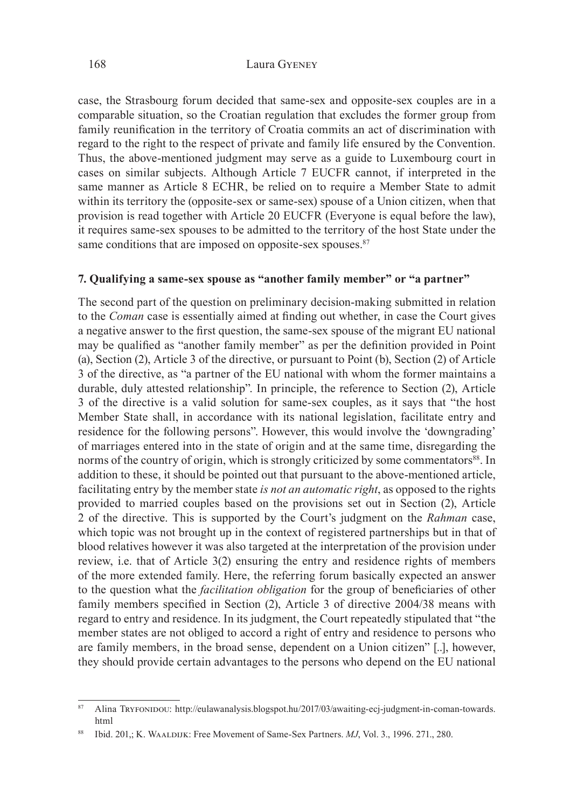case, the Strasbourg forum decided that same-sex and opposite-sex couples are in a comparable situation, so the Croatian regulation that excludes the former group from family reunification in the territory of Croatia commits an act of discrimination with regard to the right to the respect of private and family life ensured by the Convention. Thus, the above-mentioned judgment may serve as a guide to Luxembourg court in cases on similar subjects. Although Article 7 EUCFR cannot, if interpreted in the same manner as Article 8 ECHR, be relied on to require a Member State to admit within its territory the (opposite-sex or same-sex) spouse of a Union citizen, when that provision is read together with Article 20 EUCFR (Everyone is equal before the law), it requires same-sex spouses to be admitted to the territory of the host State under the same conditions that are imposed on opposite-sex spouses.<sup>87</sup>

### **7. Qualifying a same-sex spouse as "another family member" or "a partner"**

The second part of the question on preliminary decision-making submitted in relation to the *Coman* case is essentially aimed at finding out whether, in case the Court gives a negative answer to the first question, the same-sex spouse of the migrant EU national may be qualified as "another family member" as per the definition provided in Point (a), Section (2), Article 3 of the directive, or pursuant to Point (b), Section (2) of Article 3 of the directive, as "a partner of the EU national with whom the former maintains a durable, duly attested relationship". In principle, the reference to Section (2), Article 3 of the directive is a valid solution for same-sex couples, as it says that "the host Member State shall, in accordance with its national legislation, facilitate entry and residence for the following persons". However, this would involve the 'downgrading' of marriages entered into in the state of origin and at the same time, disregarding the norms of the country of origin, which is strongly criticized by some commentators<sup>88</sup>. In addition to these, it should be pointed out that pursuant to the above-mentioned article, facilitating entry by the member state *is not an automatic right*, as opposed to the rights provided to married couples based on the provisions set out in Section (2), Article 2 of the directive. This is supported by the Court's judgment on the *Rahman* case, which topic was not brought up in the context of registered partnerships but in that of blood relatives however it was also targeted at the interpretation of the provision under review, i.e. that of Article 3(2) ensuring the entry and residence rights of members of the more extended family. Here, the referring forum basically expected an answer to the question what the *facilitation obligation* for the group of beneficiaries of other family members specified in Section (2), Article 3 of directive 2004/38 means with regard to entry and residence. In its judgment, the Court repeatedly stipulated that "the member states are not obliged to accord a right of entry and residence to persons who are family members, in the broad sense, dependent on a Union citizen" [..], however, they should provide certain advantages to the persons who depend on the EU national

<sup>87</sup> Alina Tryfoninou: http://eulawanalysis.blogspot.hu/2017/03/awaiting-ecj-judgment-in-coman-towards. html

<sup>88</sup> Ibid. 201,; K. Waaldijk: Free Movement of Same-Sex Partners. *MJ*, Vol. 3., 1996. 271., 280.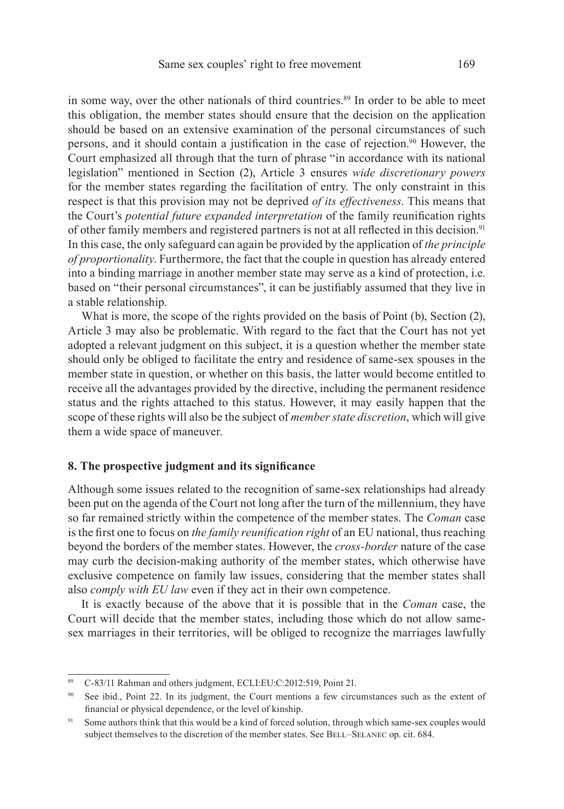in some way, over the other nationals of third countries.89 In order to be able to meet this obligation, the member states should ensure that the decision on the application should be based on an extensive examination of the personal circumstances of such persons, and it should contain a justification in the case of rejection.90 However, the Court emphasized all through that the turn of phrase "in accordance with its national legislation" mentioned in Section (2), Article 3 ensures *wide discretionary powers* for the member states regarding the facilitation of entry. The only constraint in this respect is that this provision may not be deprived *of its effectiveness*. This means that the Court's *potential future expanded interpretation* of the family reunification rights of other family members and registered partners is not at all reflected in this decision.<sup>91</sup> In this case, the only safeguard can again be provided by the application of *the principle of proportionality*. Furthermore, the fact that the couple in question has already entered into a binding marriage in another member state may serve as a kind of protection, i.e. based on "their personal circumstances", it can be justifiably assumed that they live in a stable relationship.

What is more, the scope of the rights provided on the basis of Point (b), Section (2), Article 3 may also be problematic. With regard to the fact that the Court has not yet adopted a relevant judgment on this subject, it is a question whether the member state should only be obliged to facilitate the entry and residence of same-sex spouses in the member state in question, or whether on this basis, the latter would become entitled to receive all the advantages provided by the directive, including the permanent residence status and the rights attached to this status. However, it may easily happen that the scope of these rights will also be the subject of *member state discretion*, which will give them a wide space of maneuver.

# **8. The prospective judgment and its significance**

Although some issues related to the recognition of same-sex relationships had already been put on the agenda of the Court not long after the turn of the millennium, they have so far remained strictly within the competence of the member states. The *Coman* case is the first one to focus on *the family reunification right* of an EU national, thus reaching beyond the borders of the member states. However, the *cross-border* nature of the case may curb the decision-making authority of the member states, which otherwise have exclusive competence on family law issues, considering that the member states shall also *comply with EU law* even if they act in their own competence.

It is exactly because of the above that it is possible that in the *Coman* case, the Court will decide that the member states, including those which do not allow samesex marriages in their territories, will be obliged to recognize the marriages lawfully

<sup>89</sup> C-83/11 Rahman and others judgment, ECLI:EU:C:2012:519, Point 21.

See ibid., Point 22. In its judgment, the Court mentions a few circumstances such as the extent of financial or physical dependence, or the level of kinship.

<sup>&</sup>lt;sup>91</sup> Some authors think that this would be a kind of forced solution, through which same-sex couples would subject themselves to the discretion of the member states. See BELL-SELANEC op. cit. 684.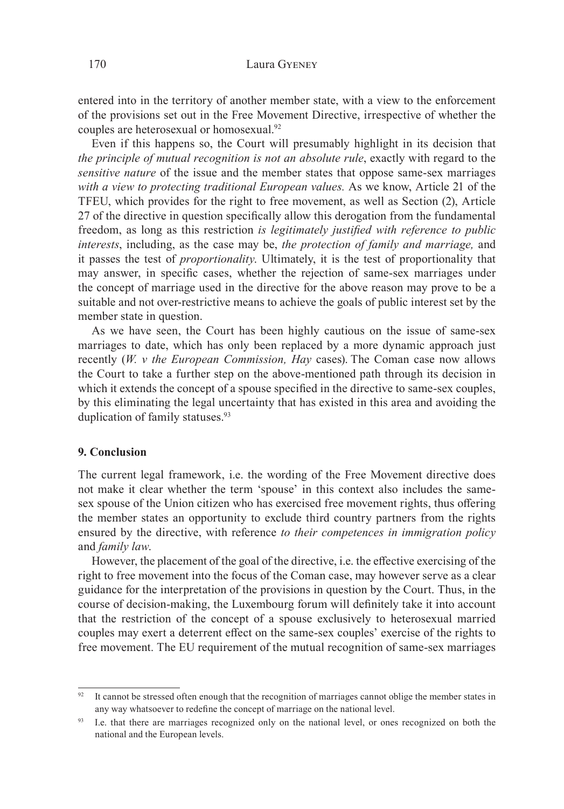entered into in the territory of another member state, with a view to the enforcement of the provisions set out in the Free Movement Directive, irrespective of whether the couples are heterosexual or homosexual.92

Even if this happens so, the Court will presumably highlight in its decision that *the principle of mutual recognition is not an absolute rule*, exactly with regard to the *sensitive nature* of the issue and the member states that oppose same-sex marriages *with a view to protecting traditional European values.* As we know, Article 21 of the TFEU, which provides for the right to free movement, as well as Section (2), Article 27 of the directive in question specifically allow this derogation from the fundamental freedom, as long as this restriction *is legitimately justified with reference to public interests*, including, as the case may be, *the protection of family and marriage,* and it passes the test of *proportionality*. Ultimately, it is the test of proportionality that may answer, in specific cases, whether the rejection of same-sex marriages under the concept of marriage used in the directive for the above reason may prove to be a suitable and not over-restrictive means to achieve the goals of public interest set by the member state in question.

As we have seen, the Court has been highly cautious on the issue of same-sex marriages to date, which has only been replaced by a more dynamic approach just recently (*W. v the European Commission, Hay* cases). The Coman case now allows the Court to take a further step on the above-mentioned path through its decision in which it extends the concept of a spouse specified in the directive to same-sex couples, by this eliminating the legal uncertainty that has existed in this area and avoiding the duplication of family statuses.<sup>93</sup>

## **9. Conclusion**

The current legal framework, i.e. the wording of the Free Movement directive does not make it clear whether the term 'spouse' in this context also includes the samesex spouse of the Union citizen who has exercised free movement rights, thus offering the member states an opportunity to exclude third country partners from the rights ensured by the directive, with reference *to their competences in immigration policy*  and *family law*.

However, the placement of the goal of the directive, i.e. the effective exercising of the right to free movement into the focus of the Coman case, may however serve as a clear guidance for the interpretation of the provisions in question by the Court. Thus, in the course of decision-making, the Luxembourg forum will definitely take it into account that the restriction of the concept of a spouse exclusively to heterosexual married couples may exert a deterrent effect on the same-sex couples' exercise of the rights to free movement. The EU requirement of the mutual recognition of same-sex marriages

 $92$  It cannot be stressed often enough that the recognition of marriages cannot oblige the member states in any way whatsoever to redefine the concept of marriage on the national level.

<sup>93</sup> I.e. that there are marriages recognized only on the national level, or ones recognized on both the national and the European levels.